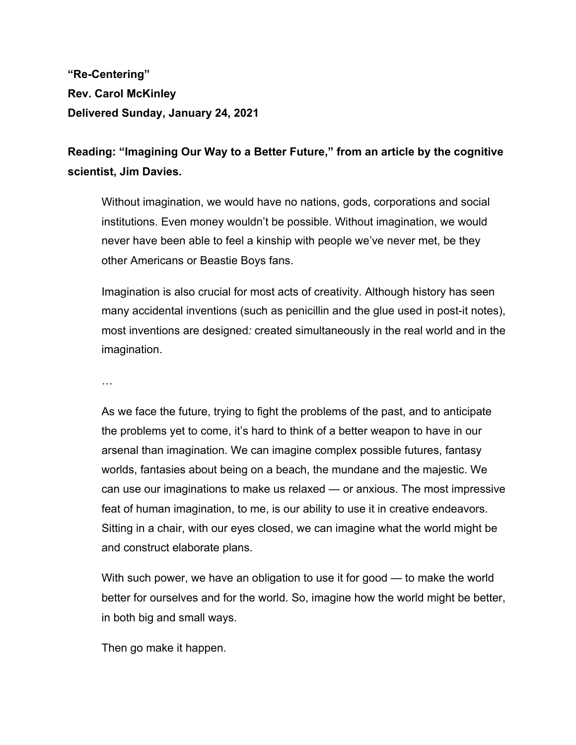**"Re-Centering" Rev. Carol McKinley Delivered Sunday, January 24, 2021**

**Reading: "Imagining Our Way to a Better Future," from an article by the cognitive scientist, Jim Davies.**

Without imagination, we would have no nations, gods, corporations and social institutions. Even money wouldn't be possible. Without imagination, we would never have been able to feel a kinship with people we've never met, be they other Americans or Beastie Boys fans.

Imagination is also crucial for most acts of creativity. Although history has seen many accidental inventions (such as penicillin and the glue used in post-it notes), most inventions are designed*:* created simultaneously in the real world and in the imagination.

…

As we face the future, trying to fight the problems of the past, and to anticipate the problems yet to come, it's hard to think of a better weapon to have in our arsenal than imagination. We can imagine complex possible futures, fantasy worlds, fantasies about being on a beach, the mundane and the majestic. We can use our imaginations to make us relaxed — or anxious. The most impressive feat of human imagination, to me, is our ability to use it in creative endeavors. Sitting in a chair, with our eyes closed, we can imagine what the world might be and construct elaborate plans.

With such power, we have an obligation to use it for good — to make the world better for ourselves and for the world. So, imagine how the world might be better, in both big and small ways.

Then go make it happen.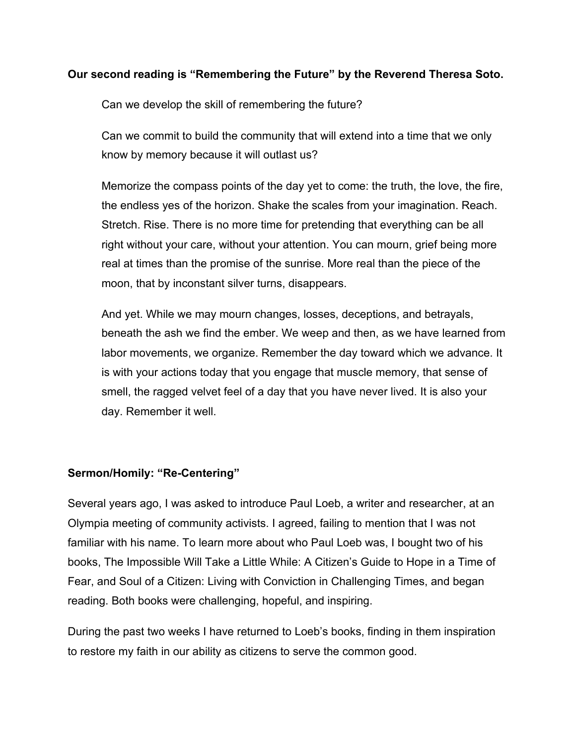## **Our second reading is "Remembering the Future" by the Reverend Theresa Soto.**

Can we develop the skill of remembering the future?

Can we commit to build the community that will extend into a time that we only know by memory because it will outlast us?

Memorize the compass points of the day yet to come: the truth, the love, the fire, the endless yes of the horizon. Shake the scales from your imagination. Reach. Stretch. Rise. There is no more time for pretending that everything can be all right without your care, without your attention. You can mourn, grief being more real at times than the promise of the sunrise. More real than the piece of the moon, that by inconstant silver turns, disappears.

And yet. While we may mourn changes, losses, deceptions, and betrayals, beneath the ash we find the ember. We weep and then, as we have learned from labor movements, we organize. Remember the day toward which we advance. It is with your actions today that you engage that muscle memory, that sense of smell, the ragged velvet feel of a day that you have never lived. It is also your day. Remember it well.

## **Sermon/Homily: "Re-Centering"**

Several years ago, I was asked to introduce Paul Loeb, a writer and researcher, at an Olympia meeting of community activists. I agreed, failing to mention that I was not familiar with his name. To learn more about who Paul Loeb was, I bought two of his books, The Impossible Will Take a Little While: A Citizen's Guide to Hope in a Time of Fear, and Soul of a Citizen: Living with Conviction in Challenging Times, and began reading. Both books were challenging, hopeful, and inspiring.

During the past two weeks I have returned to Loeb's books, finding in them inspiration to restore my faith in our ability as citizens to serve the common good.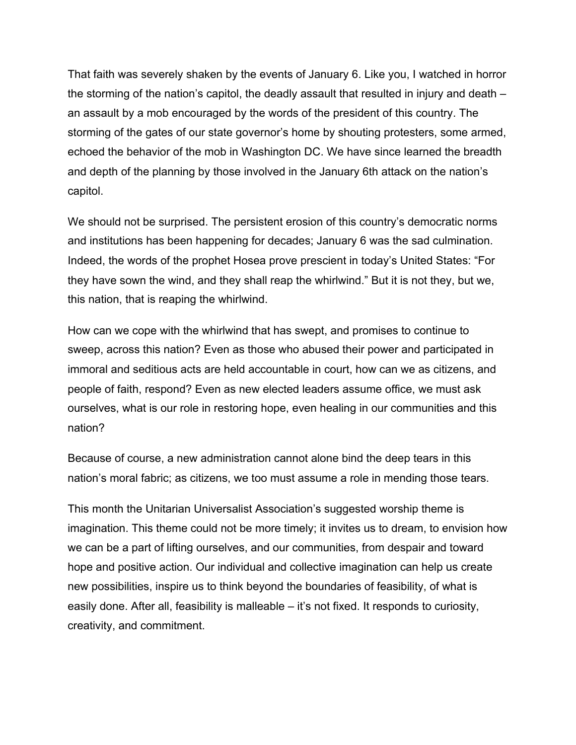That faith was severely shaken by the events of January 6. Like you, I watched in horror the storming of the nation's capitol, the deadly assault that resulted in injury and death – an assault by a mob encouraged by the words of the president of this country. The storming of the gates of our state governor's home by shouting protesters, some armed, echoed the behavior of the mob in Washington DC. We have since learned the breadth and depth of the planning by those involved in the January 6th attack on the nation's capitol.

We should not be surprised. The persistent erosion of this country's democratic norms and institutions has been happening for decades; January 6 was the sad culmination. Indeed, the words of the prophet Hosea prove prescient in today's United States: "For they have sown the wind, and they shall reap the whirlwind." But it is not they, but we, this nation, that is reaping the whirlwind.

How can we cope with the whirlwind that has swept, and promises to continue to sweep, across this nation? Even as those who abused their power and participated in immoral and seditious acts are held accountable in court, how can we as citizens, and people of faith, respond? Even as new elected leaders assume office, we must ask ourselves, what is our role in restoring hope, even healing in our communities and this nation?

Because of course, a new administration cannot alone bind the deep tears in this nation's moral fabric; as citizens, we too must assume a role in mending those tears.

This month the Unitarian Universalist Association's suggested worship theme is imagination. This theme could not be more timely; it invites us to dream, to envision how we can be a part of lifting ourselves, and our communities, from despair and toward hope and positive action. Our individual and collective imagination can help us create new possibilities, inspire us to think beyond the boundaries of feasibility, of what is easily done. After all, feasibility is malleable – it's not fixed. It responds to curiosity, creativity, and commitment.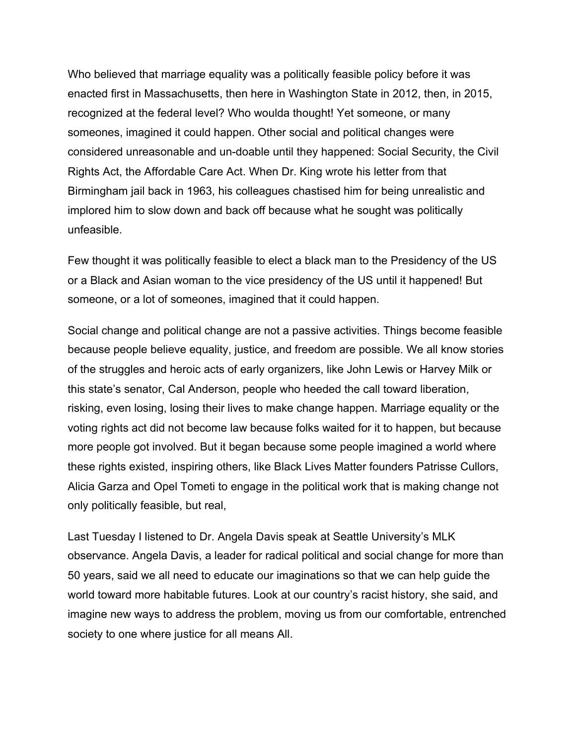Who believed that marriage equality was a politically feasible policy before it was enacted first in Massachusetts, then here in Washington State in 2012, then, in 2015, recognized at the federal level? Who woulda thought! Yet someone, or many someones, imagined it could happen. Other social and political changes were considered unreasonable and un-doable until they happened: Social Security, the Civil Rights Act, the Affordable Care Act. When Dr. King wrote his letter from that Birmingham jail back in 1963, his colleagues chastised him for being unrealistic and implored him to slow down and back off because what he sought was politically unfeasible.

Few thought it was politically feasible to elect a black man to the Presidency of the US or a Black and Asian woman to the vice presidency of the US until it happened! But someone, or a lot of someones, imagined that it could happen.

Social change and political change are not a passive activities. Things become feasible because people believe equality, justice, and freedom are possible. We all know stories of the struggles and heroic acts of early organizers, like John Lewis or Harvey Milk or this state's senator, Cal Anderson, people who heeded the call toward liberation, risking, even losing, losing their lives to make change happen. Marriage equality or the voting rights act did not become law because folks waited for it to happen, but because more people got involved. But it began because some people imagined a world where these rights existed, inspiring others, like Black Lives Matter founders Patrisse Cullors, Alicia Garza and Opel Tometi to engage in the political work that is making change not only politically feasible, but real,

Last Tuesday I listened to Dr. Angela Davis speak at Seattle University's MLK observance. Angela Davis, a leader for radical political and social change for more than 50 years, said we all need to educate our imaginations so that we can help guide the world toward more habitable futures. Look at our country's racist history, she said, and imagine new ways to address the problem, moving us from our comfortable, entrenched society to one where justice for all means All.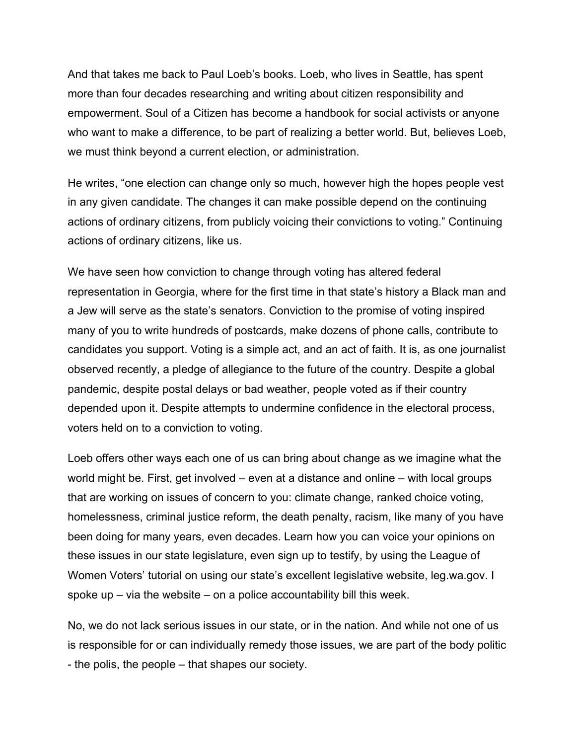And that takes me back to Paul Loeb's books. Loeb, who lives in Seattle, has spent more than four decades researching and writing about citizen responsibility and empowerment. Soul of a Citizen has become a handbook for social activists or anyone who want to make a difference, to be part of realizing a better world. But, believes Loeb, we must think beyond a current election, or administration.

He writes, "one election can change only so much, however high the hopes people vest in any given candidate. The changes it can make possible depend on the continuing actions of ordinary citizens, from publicly voicing their convictions to voting." Continuing actions of ordinary citizens, like us.

We have seen how conviction to change through voting has altered federal representation in Georgia, where for the first time in that state's history a Black man and a Jew will serve as the state's senators. Conviction to the promise of voting inspired many of you to write hundreds of postcards, make dozens of phone calls, contribute to candidates you support. Voting is a simple act, and an act of faith. It is, as one journalist observed recently, a pledge of allegiance to the future of the country. Despite a global pandemic, despite postal delays or bad weather, people voted as if their country depended upon it. Despite attempts to undermine confidence in the electoral process, voters held on to a conviction to voting.

Loeb offers other ways each one of us can bring about change as we imagine what the world might be. First, get involved – even at a distance and online – with local groups that are working on issues of concern to you: climate change, ranked choice voting, homelessness, criminal justice reform, the death penalty, racism, like many of you have been doing for many years, even decades. Learn how you can voice your opinions on these issues in our state legislature, even sign up to testify, by using the League of Women Voters' tutorial on using our state's excellent legislative website, leg.wa.gov. I spoke up  $-$  via the website  $-$  on a police accountability bill this week.

No, we do not lack serious issues in our state, or in the nation. And while not one of us is responsible for or can individually remedy those issues, we are part of the body politic - the polis, the people – that shapes our society.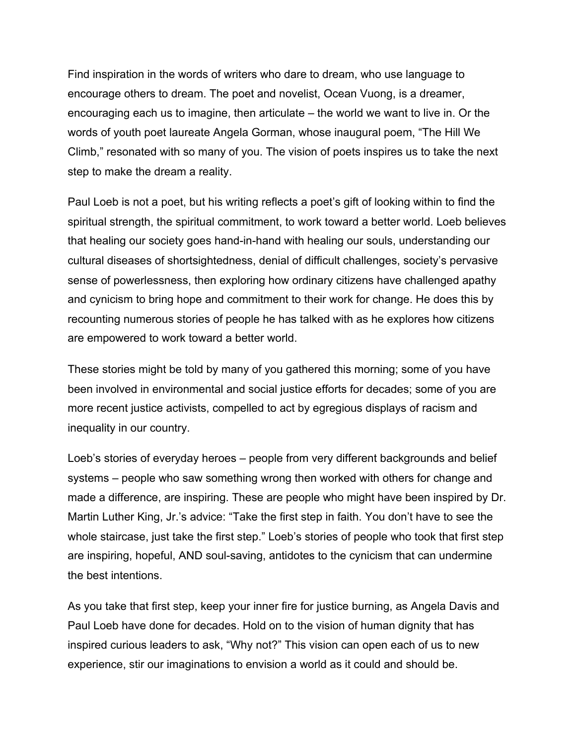Find inspiration in the words of writers who dare to dream, who use language to encourage others to dream. The poet and novelist, Ocean Vuong, is a dreamer, encouraging each us to imagine, then articulate – the world we want to live in. Or the words of youth poet laureate Angela Gorman, whose inaugural poem, "The Hill We Climb," resonated with so many of you. The vision of poets inspires us to take the next step to make the dream a reality.

Paul Loeb is not a poet, but his writing reflects a poet's gift of looking within to find the spiritual strength, the spiritual commitment, to work toward a better world. Loeb believes that healing our society goes hand-in-hand with healing our souls, understanding our cultural diseases of shortsightedness, denial of difficult challenges, society's pervasive sense of powerlessness, then exploring how ordinary citizens have challenged apathy and cynicism to bring hope and commitment to their work for change. He does this by recounting numerous stories of people he has talked with as he explores how citizens are empowered to work toward a better world.

These stories might be told by many of you gathered this morning; some of you have been involved in environmental and social justice efforts for decades; some of you are more recent justice activists, compelled to act by egregious displays of racism and inequality in our country.

Loeb's stories of everyday heroes – people from very different backgrounds and belief systems – people who saw something wrong then worked with others for change and made a difference, are inspiring. These are people who might have been inspired by Dr. Martin Luther King, Jr.'s advice: "Take the first step in faith. You don't have to see the whole staircase, just take the first step." Loeb's stories of people who took that first step are inspiring, hopeful, AND soul-saving, antidotes to the cynicism that can undermine the best intentions.

As you take that first step, keep your inner fire for justice burning, as Angela Davis and Paul Loeb have done for decades. Hold on to the vision of human dignity that has inspired curious leaders to ask, "Why not?" This vision can open each of us to new experience, stir our imaginations to envision a world as it could and should be.